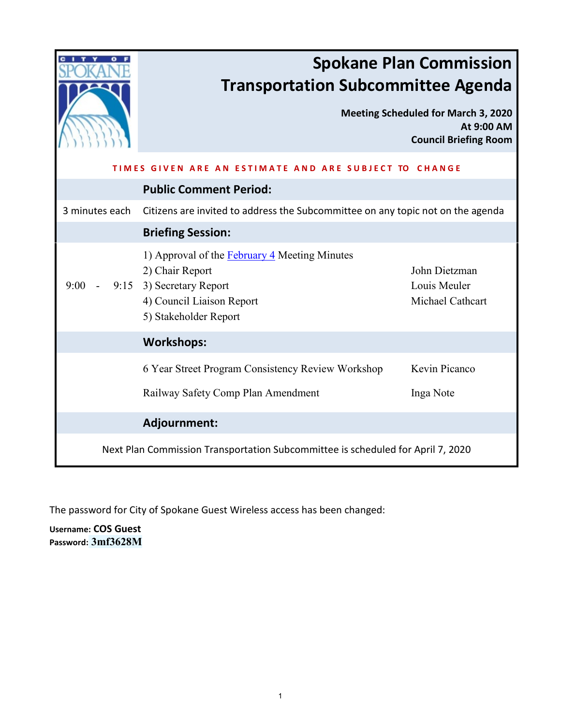|                                                                                 | <b>Spokane Plan Commission</b><br><b>Transportation Subcommittee Agenda</b>                                                                        |                                                                                          |
|---------------------------------------------------------------------------------|----------------------------------------------------------------------------------------------------------------------------------------------------|------------------------------------------------------------------------------------------|
|                                                                                 |                                                                                                                                                    | <b>Meeting Scheduled for March 3, 2020</b><br>At 9:00 AM<br><b>Council Briefing Room</b> |
| TIMFS<br>IVEN ARE AN ESTIMATE AND ARE SUBJECT TO CHANGE                         |                                                                                                                                                    |                                                                                          |
|                                                                                 | <b>Public Comment Period:</b>                                                                                                                      |                                                                                          |
| 3 minutes each                                                                  | Citizens are invited to address the Subcommittee on any topic not on the agenda                                                                    |                                                                                          |
|                                                                                 | <b>Briefing Session:</b>                                                                                                                           |                                                                                          |
| 9:00                                                                            | 1) Approval of the February 4 Meeting Minutes<br>2) Chair Report<br>9:15 3) Secretary Report<br>4) Council Liaison Report<br>5) Stakeholder Report | John Dietzman<br>Louis Meuler<br>Michael Cathcart                                        |
|                                                                                 | <b>Workshops:</b>                                                                                                                                  |                                                                                          |
|                                                                                 | 6 Year Street Program Consistency Review Workshop                                                                                                  | Kevin Picanco                                                                            |
|                                                                                 | Railway Safety Comp Plan Amendment                                                                                                                 | Inga Note                                                                                |
|                                                                                 | Adjournment:                                                                                                                                       |                                                                                          |
| Next Plan Commission Transportation Subcommittee is scheduled for April 7, 2020 |                                                                                                                                                    |                                                                                          |

The password for City of Spokane Guest Wireless access has been changed:

**Username: COS Guest Password: 3mf3628M**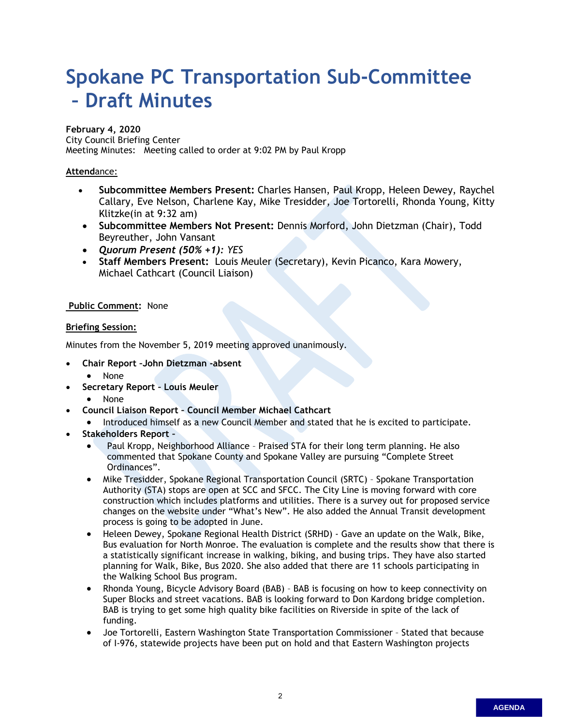# <span id="page-1-0"></span>**Spokane PC Transportation Sub-Committee – Draft Minutes**

#### **February 4, 2020**

City Council Briefing Center Meeting Minutes: Meeting called to order at 9:02 PM by Paul Kropp

## **Attend**ance:

- **Subcommittee Members Present:** Charles Hansen, Paul Kropp, Heleen Dewey, Raychel Callary, Eve Nelson, Charlene Kay, Mike Tresidder, Joe Tortorelli, Rhonda Young, Kitty Klitzke(in at 9:32 am)
- **Subcommittee Members Not Present:** Dennis Morford, John Dietzman (Chair), Todd Beyreuther, John Vansant
- *Quorum Present (50% +1): YES*
- **Staff Members Present:** Louis Meuler (Secretary), Kevin Picanco, Kara Mowery, Michael Cathcart (Council Liaison)

## **Public Comment:** None

## **Briefing Session:**

Minutes from the November 5, 2019 meeting approved unanimously.

- **Chair Report –John Dietzman -absent**
	- None
- **Secretary Report Louis Meuler**
	- None
- **Council Liaison Report Council Member Michael Cathcart**
	- Introduced himself as a new Council Member and stated that he is excited to participate.
- **Stakeholders Report –**
	- Paul Kropp, Neighborhood Alliance Praised STA for their long term planning. He also commented that Spokane County and Spokane Valley are pursuing "Complete Street Ordinances".
	- Mike Tresidder, Spokane Regional Transportation Council (SRTC) Spokane Transportation Authority (STA) stops are open at SCC and SFCC. The City Line is moving forward with core construction which includes platforms and utilities. There is a survey out for proposed service changes on the website under "What's New". He also added the Annual Transit development process is going to be adopted in June.
	- Heleen Dewey, Spokane Regional Health District (SRHD) Gave an update on the Walk, Bike, Bus evaluation for North Monroe. The evaluation is complete and the results show that there is a statistically significant increase in walking, biking, and busing trips. They have also started planning for Walk, Bike, Bus 2020. She also added that there are 11 schools participating in the Walking School Bus program.
	- Rhonda Young, Bicycle Advisory Board (BAB) BAB is focusing on how to keep connectivity on Super Blocks and street vacations. BAB is looking forward to Don Kardong bridge completion. BAB is trying to get some high quality bike facilities on Riverside in spite of the lack of funding.
	- Joe Tortorelli, Eastern Washington State Transportation Commissioner Stated that because of I-976, statewide projects have been put on hold and that Eastern Washington projects